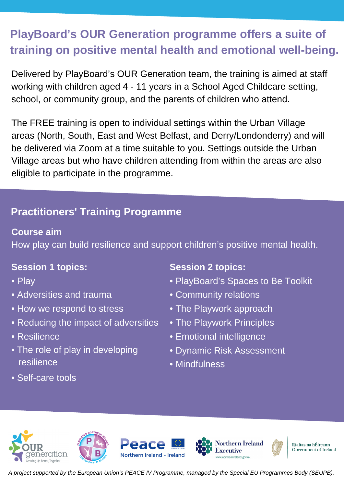# **PlayBoard's OUR Generation programme offers a suite of training on positive mental health and emotional well-being.**

Delivered by PlayBoard's OUR Generation team, the training is aimed at staff working with children aged 4 - 11 years in a School Aged Childcare setting, school, or community group, and the parents of children who attend.

The FREE training is open to individual settings within the Urban Village areas (North, South, East and West Belfast, and Derry/Londonderry) and will be delivered via Zoom at a time suitable to you. Settings outside the Urban Village areas but who have children attending from within the areas are also eligible to participate in the programme.

# **Practitioners' Training Programme**

## **Course aim**

How play can build resilience and support children's positive mental health.

## **Session 1 topics:**

- Play
- Adversities and trauma
- How we respond to stress
- Reducing the impact of adversities
- Resilience
- The role of play in developing resilience
- Self-care tools

## **Session 2 topics:**

- PlayBoard's Spaces to Be Toolkit
- Community relations
- The Playwork approach
- The Playwork Principles
- Emotional intelligence
- Dynamic Risk Assessment
- Mindfulness













A project supported by the European Union's PEACE IV Programme, managed by the Special EU Programmes Body (SEUPB).